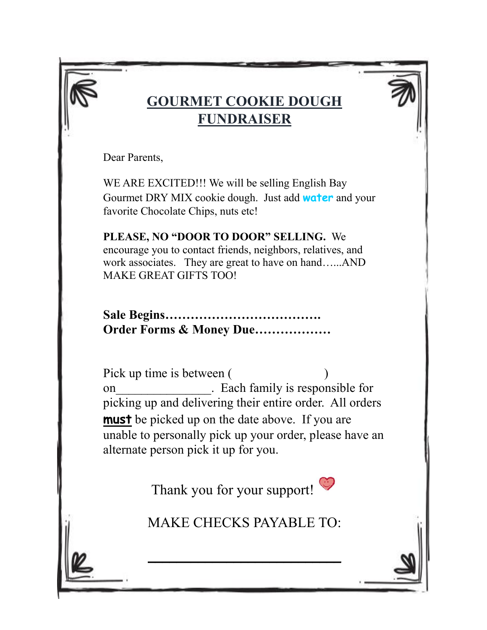## **GOURMET COOKIE DOUGH FUNDRAISER**

Dear Parents,

WE ARE EXCITED!!! We will be selling English Bay Gourmet DRY MIX cookie dough. Just add **water** and your favorite Chocolate Chips, nuts etc!

**PLEASE, NO "DOOR TO DOOR" SELLING.** We encourage you to contact friends, neighbors, relatives, and work associates. They are great to have on hand…...AND MAKE GREAT GIFTS TOO!

**Sale Begins………………………………. Order Forms & Money Due………………**

Pick up time is between ( ) on example in Each family is responsible for picking up and delivering their entire order. All orders **must** be picked up on the date above. If you are unable to personally pick up your order, please have an alternate person pick it up for you.

Thank you for your support!

MAKE CHECKS PAYABLE TO:

 $\overline{\phantom{a}}$  , where  $\overline{\phantom{a}}$  , where  $\overline{\phantom{a}}$  , where  $\overline{\phantom{a}}$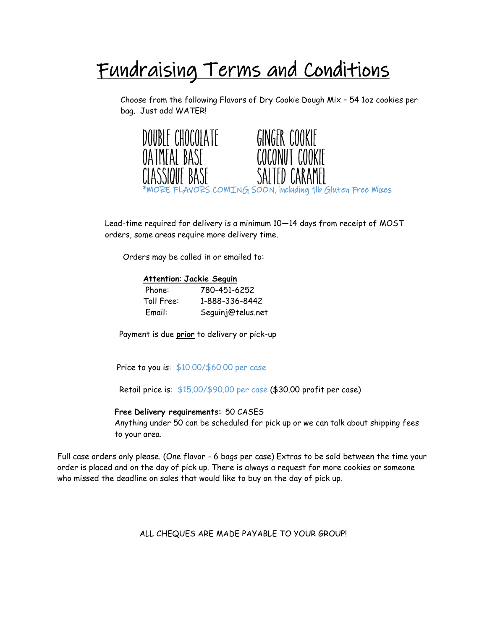# Fundraising Terms and Conditions

Choose from the following Flavors of Dry Cookie Dough Mix – 54 1oz cookies per bag. Just add WATER!



Lead-time required for delivery is a minimum 10—14 days from receipt of MOST orders, some areas require more delivery time.

Orders may be called in or emailed to:

#### **Attention**: **Jackie Seguin**

| Phone:     | 780-451-6252      |
|------------|-------------------|
| Toll Free: | 1-888-336-8442    |
| Email:     | Seguinj@telus.net |

Payment is due **prior** to delivery or pick-up

Price to you is:  $$10.00$ /\$60.00 per case

Retail price is: \$15.00/\$90.00 per case (\$30.00 profit per case)

#### **Free Delivery requirements:** 50 CASES

Anything under 50 can be scheduled for pick up or we can talk about shipping fees to your area.

Full case orders only please. (One flavor - 6 bags per case) Extras to be sold between the time your order is placed and on the day of pick up. There is always a request for more cookies or someone who missed the deadline on sales that would like to buy on the day of pick up.

ALL CHEQUES ARE MADE PAYABLE TO YOUR GROUP!